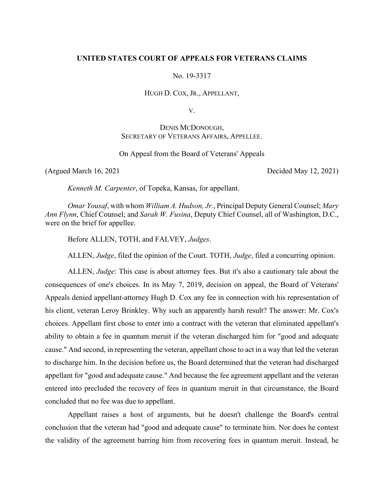## **UNITED STATES COURT OF APPEALS FOR VETERANS CLAIMS**

No. 19-3317

HUGH D. COX, JR., APPELLANT,

V.

DENIS MCDONOUGH, SECRETARY OF VETERANS AFFAIRS, APPELLEE.

On Appeal from the Board of Veterans' Appeals

(Argued March 16, 2021 Decided May 12, 2021)

*Kenneth M. Carpenter*, of Topeka, Kansas, for appellant.

*Omar Yousaf*, with whom *William A. Hudson, Jr.*, Principal Deputy General Counsel; *Mary Ann Flynn*, Chief Counsel; and *Sarah W. Fusina*, Deputy Chief Counsel, all of Washington, D.C., were on the brief for appellee.

Before ALLEN, TOTH, and FALVEY, *Judges*.

ALLEN, *Judge*, filed the opinion of the Court. TOTH, *Judge*, filed a concurring opinion.

ALLEN, *Judge*: This case is about attorney fees. But it's also a cautionary tale about the consequences of one's choices. In its May 7, 2019, decision on appeal, the Board of Veterans' Appeals denied appellant-attorney Hugh D. Cox any fee in connection with his representation of his client, veteran Leroy Brinkley. Why such an apparently harsh result? The answer: Mr. Cox's choices. Appellant first chose to enter into a contract with the veteran that eliminated appellant's ability to obtain a fee in quantum meruit if the veteran discharged him for "good and adequate cause." And second, in representing the veteran, appellant chose to act in a way that led the veteran to discharge him. In the decision before us, the Board determined that the veteran had discharged appellant for "good and adequate cause." And because the fee agreement appellant and the veteran entered into precluded the recovery of fees in quantum meruit in that circumstance, the Board concluded that no fee was due to appellant.

Appellant raises a host of arguments, but he doesn't challenge the Board's central conclusion that the veteran had "good and adequate cause" to terminate him. Nor does he contest the validity of the agreement barring him from recovering fees in quantum meruit. Instead, he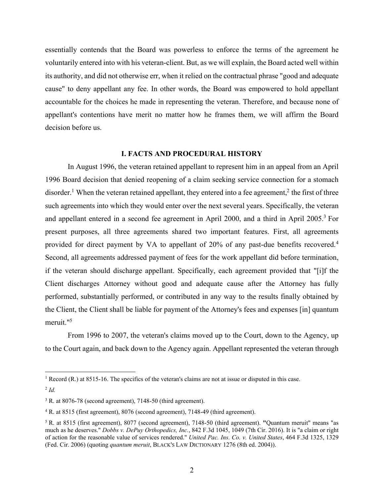essentially contends that the Board was powerless to enforce the terms of the agreement he voluntarily entered into with his veteran-client. But, as we will explain, the Board acted well within its authority, and did not otherwise err, when it relied on the contractual phrase "good and adequate cause" to deny appellant any fee. In other words, the Board was empowered to hold appellant accountable for the choices he made in representing the veteran. Therefore, and because none of appellant's contentions have merit no matter how he frames them, we will affirm the Board decision before us.

# **I. FACTS AND PROCEDURAL HISTORY**

In August 1996, the veteran retained appellant to represent him in an appeal from an April 1996 Board decision that denied reopening of a claim seeking service connection for a stomach disorder.<sup>1</sup> When the veteran retained appellant, they entered into a fee agreement,<sup>2</sup> the first of three such agreements into which they would enter over the next several years. Specifically, the veteran and appellant entered in a second fee agreement in April 2000, and a third in April 2005.<sup>3</sup> For present purposes, all three agreements shared two important features. First, all agreements provided for direct payment by VA to appellant of 20% of any past-due benefits recovered.<sup>4</sup> Second, all agreements addressed payment of fees for the work appellant did before termination, if the veteran should discharge appellant. Specifically, each agreement provided that "[i]f the Client discharges Attorney without good and adequate cause after the Attorney has fully performed, substantially performed, or contributed in any way to the results finally obtained by the Client, the Client shall be liable for payment of the Attorney's fees and expenses [in] quantum meruit."5

From 1996 to 2007, the veteran's claims moved up to the Court, down to the Agency, up to the Court again, and back down to the Agency again. Appellant represented the veteran through

<sup>&</sup>lt;sup>1</sup> Record (R.) at 8515-16. The specifics of the veteran's claims are not at issue or disputed in this case.

<sup>2</sup> *Id.*

<sup>&</sup>lt;sup>3</sup> R. at 8076-78 (second agreement), 7148-50 (third agreement).

<sup>&</sup>lt;sup>4</sup> R. at 8515 (first agreement), 8076 (second agreement), 7148-49 (third agreement).

<sup>5</sup> R. at 8515 (first agreement), 8077 (second agreement), 7148-50 (third agreement). **"**Quantum meruit" means "as much as he deserves." *Dobbs v. DePuy Orthopedics, Inc.*, 842 F.3d 1045, 1049 (7th Cir. 2016). It is "a claim or right of action for the reasonable value of services rendered." *United Pac. Ins. Co. v. United States*, 464 F.3d 1325, 1329 (Fed. Cir. 2006) (quoting *quantum meruit*, BLACK'S LAW DICTIONARY 1276 (8th ed. 2004)).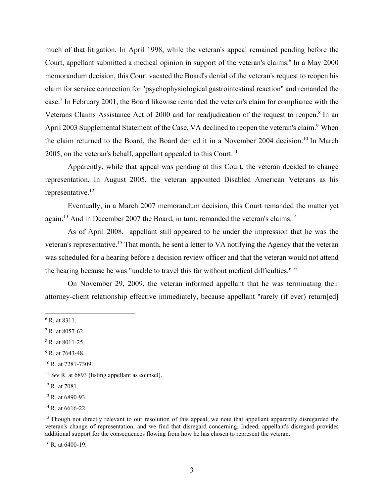much of that litigation. In April 1998, while the veteran's appeal remained pending before the Court, appellant submitted a medical opinion in support of the veteran's claims.<sup>6</sup> In a May 2000 memorandum decision, this Court vacated the Board's denial of the veteran's request to reopen his claim for service connection for "psychophysiological gastrointestinal reaction" and remanded the case.<sup>7</sup> In February 2001, the Board likewise remanded the veteran's claim for compliance with the Veterans Claims Assistance Act of 2000 and for readjudication of the request to reopen.<sup>8</sup> In an April 2003 Supplemental Statement of the Case, VA declined to reopen the veteran's claim.<sup>9</sup> When the claim returned to the Board, the Board denied it in a November 2004 decision.<sup>10</sup> In March 2005, on the veteran's behalf, appellant appealed to this Court.<sup>11</sup>

Apparently, while that appeal was pending at this Court, the veteran decided to change representation. In August 2005, the veteran appointed Disabled American Veterans as his representative.12

Eventually, in a March 2007 memorandum decision, this Court remanded the matter yet again.<sup>13</sup> And in December 2007 the Board, in turn, remanded the veteran's claims.<sup>14</sup>

As of April 2008, appellant still appeared to be under the impression that he was the veteran's representative.<sup>15</sup> That month, he sent a letter to VA notifying the Agency that the veteran was scheduled for a hearing before a decision review officer and that the veteran would not attend the hearing because he was "unable to travel this far without medical difficulties."16

On November 29, 2009, the veteran informed appellant that he was terminating their attorney-client relationship effective immediately, because appellant "rarely (if ever) return[ed]

<sup>16</sup> R. at 6400-19.

<sup>6</sup> R. at 8311.

<sup>7</sup> R. at 8057-62.

<sup>8</sup> R. at 8011-25.

<sup>&</sup>lt;sup>9</sup> R. at 7643-48.

<sup>10</sup> R. at 7281-7309.

<sup>11</sup> *See* R. at 6893 (listing appellant as counsel).

<sup>12</sup> R. at 7081.

<sup>13</sup> R. at 6890-93.

 $14$  R. at 6616-22.

<sup>&</sup>lt;sup>15</sup> Though not directly relevant to our resolution of this appeal, we note that appellant apparently disregarded the veteran's change of representation, and we find that disregard concerning. Indeed, appellant's disregard provides additional support for the consequences flowing from how he has chosen to represent the veteran.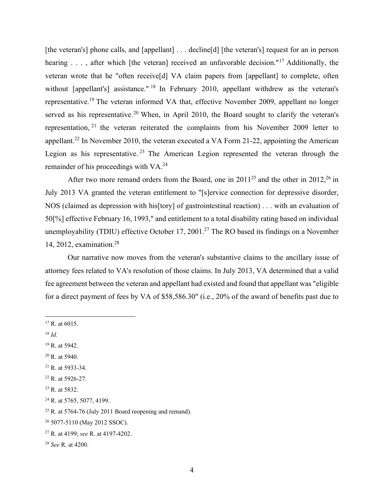[the veteran's] phone calls, and [appellant] . . . decline[d] [the veteran's] request for an in person hearing  $\ldots$ , after which [the veteran] received an unfavorable decision."<sup>17</sup> Additionally, the veteran wrote that he "often receive[d] VA claim papers from [appellant] to complete, often without [appellant's] assistance."<sup>18</sup> In February 2010, appellant withdrew as the veteran's representative.19 The veteran informed VA that, effective November 2009, appellant no longer served as his representative.<sup>20</sup> When, in April 2010, the Board sought to clarify the veteran's representation, 21 the veteran reiterated the complaints from his November 2009 letter to appellant.<sup>22</sup> In November 2010, the veteran executed a VA Form 21-22, appointing the American Legion as his representative.<sup>23</sup> The American Legion represented the veteran through the remainder of his proceedings with VA.<sup>24</sup>

After two more remand orders from the Board, one in  $2011^{25}$  and the other in  $2012^{26}$  in July 2013 VA granted the veteran entitlement to "[s]ervice connection for depressive disorder, NOS (claimed as depression with his[tory] of gastrointestinal reaction) . . . with an evaluation of 50[%] effective February 16, 1993," and entitlement to a total disability rating based on individual unemployability (TDIU) effective October 17, 2001.<sup>27</sup> The RO based its findings on a November 14, 2012, examination.28

Our narrative now moves from the veteran's substantive claims to the ancillary issue of attorney fees related to VA's resolution of those claims. In July 2013, VA determined that a valid fee agreement between the veteran and appellant had existed and found that appellant was "eligible for a direct payment of fees by VA of \$58,586.30" (i.e., 20% of the award of benefits past due to

- $18$  *Id.*
- 19 R. at 5942.
- $20$  R. at 5940.
- $^{21}$  R. at 5933-34.
- 22 R. at 5926-27.
- 23 R. at 5832.
- <sup>24</sup> R. at 5765, 5077, 4199.

- 26 5077-5110 (May 2012 SSOC).
- 27 R. at 4199; *see* R. at 4197-4202.
- <sup>28</sup> *See* R. at 4200.

 $17$  R. at 6015.

 $25$  R. at 5764-76 (July 2011 Board reopening and remand).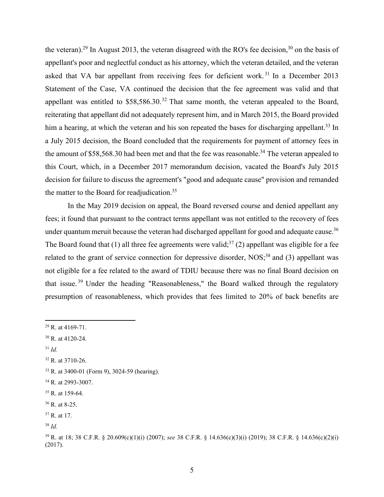the veteran).<sup>29</sup> In August 2013, the veteran disagreed with the RO's fee decision.<sup>30</sup> on the basis of appellant's poor and neglectful conduct as his attorney, which the veteran detailed, and the veteran asked that VA bar appellant from receiving fees for deficient work.<sup>31</sup> In a December 2013 Statement of the Case, VA continued the decision that the fee agreement was valid and that appellant was entitled to  $$58,586.30$ .<sup>32</sup> That same month, the veteran appealed to the Board, reiterating that appellant did not adequately represent him, and in March 2015, the Board provided him a hearing, at which the veteran and his son repeated the bases for discharging appellant.<sup>33</sup> In a July 2015 decision, the Board concluded that the requirements for payment of attorney fees in the amount of \$58,568.30 had been met and that the fee was reasonable.<sup>34</sup> The veteran appealed to this Court, which, in a December 2017 memorandum decision, vacated the Board's July 2015 decision for failure to discuss the agreement's "good and adequate cause" provision and remanded the matter to the Board for readjudication.<sup>35</sup>

In the May 2019 decision on appeal, the Board reversed course and denied appellant any fees; it found that pursuant to the contract terms appellant was not entitled to the recovery of fees under quantum meruit because the veteran had discharged appellant for good and adequate cause.<sup>36</sup> The Board found that (1) all three fee agreements were valid;<sup>37</sup> (2) appellant was eligible for a fee related to the grant of service connection for depressive disorder, NOS;<sup>38</sup> and (3) appellant was not eligible for a fee related to the award of TDIU because there was no final Board decision on that issue. 39 Under the heading "Reasonableness," the Board walked through the regulatory presumption of reasonableness, which provides that fees limited to 20% of back benefits are

- <sup>31</sup> *Id.*
- 32 R. at 3710-26.

35 R. at 159-64.

 $29$  R. at 4169-71.

<sup>30</sup> R. at 4120-24.

<sup>33</sup> R. at 3400-01 (Form 9), 3024-59 (hearing).

<sup>34</sup> R. at 2993-3007.

<sup>36</sup> R. at 8-25.

<sup>37</sup> R. at 17.

<sup>38</sup> *Id.* 

<sup>39</sup> R. at 18; 38 C.F.R. § 20.609(c)(1)(i) (2007); *see* 38 C.F.R. § 14.636(c)(3)(i) (2019); 38 C.F.R. § 14.636(c)(2)(i) (2017).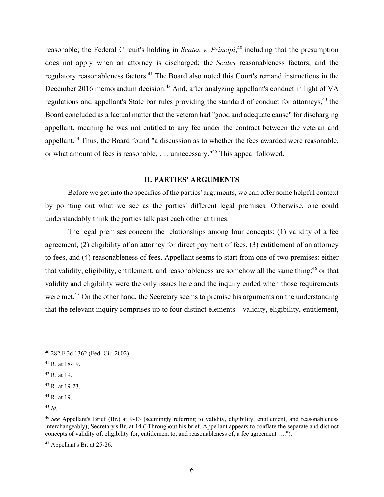reasonable; the Federal Circuit's holding in *Scates v. Principi*, 40 including that the presumption does not apply when an attorney is discharged; the *Scates* reasonableness factors; and the regulatory reasonableness factors.<sup>41</sup> The Board also noted this Court's remand instructions in the December 2016 memorandum decision.<sup>42</sup> And, after analyzing appellant's conduct in light of VA regulations and appellant's State bar rules providing the standard of conduct for attorneys,<sup>43</sup> the Board concluded as a factual matter that the veteran had "good and adequate cause" for discharging appellant, meaning he was not entitled to any fee under the contract between the veteran and appellant.<sup>44</sup> Thus, the Board found "a discussion as to whether the fees awarded were reasonable, or what amount of fees is reasonable, . . . unnecessary."45 This appeal followed.

## **II. PARTIES' ARGUMENTS**

 Before we get into the specifics of the parties' arguments, we can offer some helpful context by pointing out what we see as the parties' different legal premises. Otherwise, one could understandably think the parties talk past each other at times.

The legal premises concern the relationships among four concepts: (1) validity of a fee agreement, (2) eligibility of an attorney for direct payment of fees, (3) entitlement of an attorney to fees, and (4) reasonableness of fees. Appellant seems to start from one of two premises: either that validity, eligibility, entitlement, and reasonableness are somehow all the same thing;<sup>46</sup> or that validity and eligibility were the only issues here and the inquiry ended when those requirements were met.<sup>47</sup> On the other hand, the Secretary seems to premise his arguments on the understanding that the relevant inquiry comprises up to four distinct elements—validity, eligibility, entitlement,

<sup>40 282</sup> F.3d 1362 (Fed. Cir. 2002).

<sup>41</sup> R. at 18-19.

<sup>42</sup> R. at 19.

<sup>43</sup> R. at 19-23.

<sup>44</sup> R. at 19.

<sup>45</sup> *Id.*

<sup>46</sup> *See* Appellant's Brief (Br.) at 9-13 (seemingly referring to validity, eligibility, entitlement, and reasonableness interchangeably); Secretary's Br. at 14 ("Throughout his brief, Appellant appears to conflate the separate and distinct concepts of validity of, eligibility for, entitlement to, and reasonableness of, a fee agreement ….").

<sup>47</sup> Appellant's Br. at 25-26.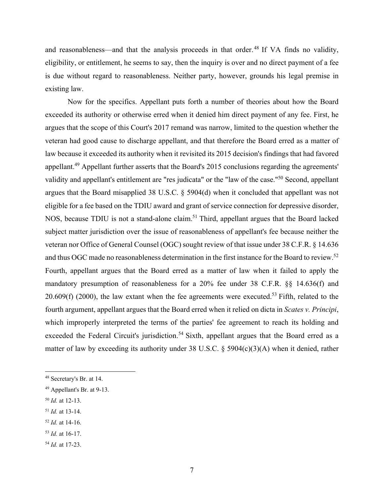and reasonableness—and that the analysis proceeds in that order.<sup>48</sup> If VA finds no validity, eligibility, or entitlement, he seems to say, then the inquiry is over and no direct payment of a fee is due without regard to reasonableness. Neither party, however, grounds his legal premise in existing law.

Now for the specifics. Appellant puts forth a number of theories about how the Board exceeded its authority or otherwise erred when it denied him direct payment of any fee. First, he argues that the scope of this Court's 2017 remand was narrow, limited to the question whether the veteran had good cause to discharge appellant, and that therefore the Board erred as a matter of law because it exceeded its authority when it revisited its 2015 decision's findings that had favored appellant.49 Appellant further asserts that the Board's 2015 conclusions regarding the agreements' validity and appellant's entitlement are "res judicata" or the "law of the case."50 Second, appellant argues that the Board misapplied 38 U.S.C. § 5904(d) when it concluded that appellant was not eligible for a fee based on the TDIU award and grant of service connection for depressive disorder, NOS, because TDIU is not a stand-alone claim.<sup>51</sup> Third, appellant argues that the Board lacked subject matter jurisdiction over the issue of reasonableness of appellant's fee because neither the veteran nor Office of General Counsel (OGC) sought review of that issue under 38 C.F.R. § 14.636 and thus OGC made no reasonableness determination in the first instance for the Board to review.<sup>52</sup> Fourth, appellant argues that the Board erred as a matter of law when it failed to apply the mandatory presumption of reasonableness for a 20% fee under 38 C.F.R. §§ 14.636(f) and 20.609(f) (2000), the law extant when the fee agreements were executed.<sup>53</sup> Fifth, related to the fourth argument, appellant argues that the Board erred when it relied on dicta in *Scates v. Principi*, which improperly interpreted the terms of the parties' fee agreement to reach its holding and exceeded the Federal Circuit's jurisdiction.<sup>54</sup> Sixth, appellant argues that the Board erred as a matter of law by exceeding its authority under 38 U.S.C. § 5904(c)(3)(A) when it denied, rather

<sup>51</sup> *Id.* at 13-14.

<sup>53</sup> *Id.* at 16-17.

<sup>48</sup> Secretary's Br. at 14.

<sup>49</sup> Appellant's Br. at 9-13.

<sup>50</sup> *Id.* at 12-13.

<sup>52</sup> *Id.* at 14-16.

<sup>54</sup> *Id.* at 17-23.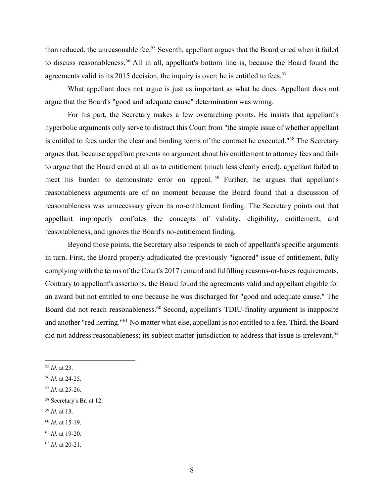than reduced, the unreasonable fee.<sup>55</sup> Seventh, appellant argues that the Board erred when it failed to discuss reasonableness.<sup>56</sup> All in all, appellant's bottom line is, because the Board found the agreements valid in its 2015 decision, the inquiry is over; he is entitled to fees.<sup>57</sup>

What appellant does not argue is just as important as what he does. Appellant does not argue that the Board's "good and adequate cause" determination was wrong.

For his part, the Secretary makes a few overarching points. He insists that appellant's hyperbolic arguments only serve to distract this Court from "the simple issue of whether appellant is entitled to fees under the clear and binding terms of the contract he executed."58 The Secretary argues that, because appellant presents no argument about his entitlement to attorney fees and fails to argue that the Board erred at all as to entitlement (much less clearly erred), appellant failed to meet his burden to demonstrate error on appeal.<sup>59</sup> Further, he argues that appellant's reasonableness arguments are of no moment because the Board found that a discussion of reasonableness was unnecessary given its no-entitlement finding. The Secretary points out that appellant improperly conflates the concepts of validity, eligibility, entitlement, and reasonableness, and ignores the Board's no-entitlement finding.

Beyond those points, the Secretary also responds to each of appellant's specific arguments in turn. First, the Board properly adjudicated the previously "ignored" issue of entitlement, fully complying with the terms of the Court's 2017 remand and fulfilling reasons-or-bases requirements. Contrary to appellant's assertions, the Board found the agreements valid and appellant eligible for an award but not entitled to one because he was discharged for "good and adequate cause." The Board did not reach reasonableness.<sup>60</sup> Second, appellant's TDIU-finality argument is inapposite and another "red herring."61 No matter what else, appellant is not entitled to a fee. Third, the Board did not address reasonableness; its subject matter jurisdiction to address that issue is irrelevant.<sup>62</sup>

<sup>59</sup> *Id.* at 13.

<sup>55</sup> *Id.* at 23.

<sup>56</sup> *Id.* at 24-25.

<sup>57</sup> *Id.* at 25-26.

<sup>58</sup> Secretary's Br. at 12.

<sup>60</sup> *Id.* at 15-19.

<sup>61</sup> *Id.* at 19-20.

<sup>62</sup> *Id.* at 20-21.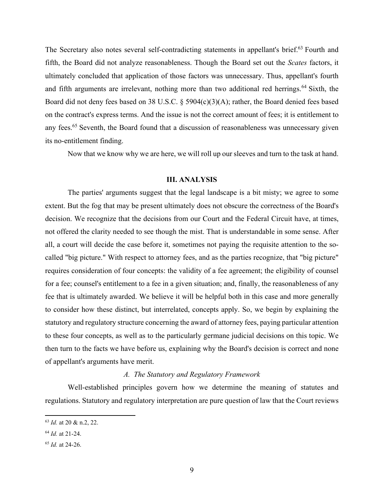The Secretary also notes several self-contradicting statements in appellant's brief.<sup>63</sup> Fourth and fifth, the Board did not analyze reasonableness. Though the Board set out the *Scates* factors, it ultimately concluded that application of those factors was unnecessary. Thus, appellant's fourth and fifth arguments are irrelevant, nothing more than two additional red herrings.<sup>64</sup> Sixth, the Board did not deny fees based on 38 U.S.C. § 5904(c)(3)(A); rather, the Board denied fees based on the contract's express terms. And the issue is not the correct amount of fees; it is entitlement to any fees.<sup>65</sup> Seventh, the Board found that a discussion of reasonableness was unnecessary given its no-entitlement finding.

Now that we know why we are here, we will roll up our sleeves and turn to the task at hand.

## **III. ANALYSIS**

The parties' arguments suggest that the legal landscape is a bit misty; we agree to some extent. But the fog that may be present ultimately does not obscure the correctness of the Board's decision. We recognize that the decisions from our Court and the Federal Circuit have, at times, not offered the clarity needed to see though the mist. That is understandable in some sense. After all, a court will decide the case before it, sometimes not paying the requisite attention to the socalled "big picture." With respect to attorney fees, and as the parties recognize, that "big picture" requires consideration of four concepts: the validity of a fee agreement; the eligibility of counsel for a fee; counsel's entitlement to a fee in a given situation; and, finally, the reasonableness of any fee that is ultimately awarded. We believe it will be helpful both in this case and more generally to consider how these distinct, but interrelated, concepts apply. So, we begin by explaining the statutory and regulatory structure concerning the award of attorney fees, paying particular attention to these four concepts, as well as to the particularly germane judicial decisions on this topic. We then turn to the facts we have before us, explaining why the Board's decision is correct and none of appellant's arguments have merit.

# *A. The Statutory and Regulatory Framework*

Well-established principles govern how we determine the meaning of statutes and regulations. Statutory and regulatory interpretation are pure question of law that the Court reviews

<sup>63</sup> *Id.* at 20 & n.2, 22.

<sup>64</sup> *Id.* at 21-24.

<sup>65</sup> *Id.* at 24-26.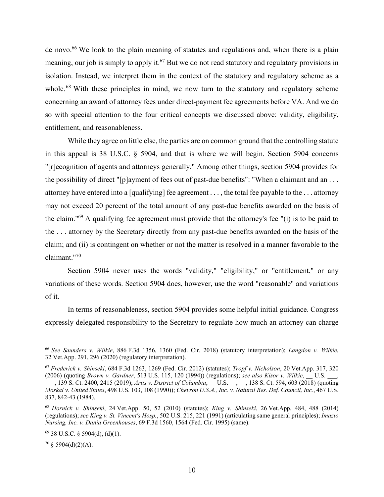de novo.<sup>66</sup> We look to the plain meaning of statutes and regulations and, when there is a plain meaning, our job is simply to apply it.<sup>67</sup> But we do not read statutory and regulatory provisions in isolation. Instead, we interpret them in the context of the statutory and regulatory scheme as a whole.<sup>68</sup> With these principles in mind, we now turn to the statutory and regulatory scheme concerning an award of attorney fees under direct-payment fee agreements before VA. And we do so with special attention to the four critical concepts we discussed above: validity, eligibility, entitlement, and reasonableness.

While they agree on little else, the parties are on common ground that the controlling statute in this appeal is 38 U.S.C. § 5904, and that is where we will begin. Section 5904 concerns "[r]ecognition of agents and attorneys generally." Among other things, section 5904 provides for the possibility of direct "[p]ayment of fees out of past-due benefits": "When a claimant and an ... attorney have entered into a [qualifying] fee agreement . . . , the total fee payable to the . . . attorney may not exceed 20 percent of the total amount of any past-due benefits awarded on the basis of the claim."69 A qualifying fee agreement must provide that the attorney's fee "(i) is to be paid to the . . . attorney by the Secretary directly from any past-due benefits awarded on the basis of the claim; and (ii) is contingent on whether or not the matter is resolved in a manner favorable to the claimant."70

Section 5904 never uses the words "validity," "eligibility," or "entitlement," or any variations of these words. Section 5904 does, however, use the word "reasonable" and variations of it.

In terms of reasonableness, section 5904 provides some helpful initial guidance. Congress expressly delegated responsibility to the Secretary to regulate how much an attorney can charge

 $70 \text{ }$ § 5904(d)(2)(A).

<sup>66</sup> *See Saunders v. Wilkie*, 886 F.3d 1356, 1360 (Fed. Cir. 2018) (statutory interpretation); *Langdon v. Wilkie*, 32 Vet.App. 291, 296 (2020) (regulatory interpretation).

<sup>67</sup> *Frederick v. Shinseki*, 684 F.3d 1263, 1269 (Fed. Cir. 2012) (statutes); *Tropf v. Nicholson*, 20 Vet.App. 317, 320 (2006) (quoting *Brown v. Gardner*, 513 U.S. 115, 120 (1994)) (regulations); *see also Kisor v. Wilkie*, \_\_ U.S. \_\_\_,

\_\_\_, 139 S. Ct. 2400, 2415 (2019); *Artis v. District of Columbia*, \_\_ U.S. \_\_, \_\_, 138 S. Ct. 594, 603 (2018) (quoting *Moskal v. United States*, 498 U.S. 103, 108 (1990)); *Chevron U.S.A., Inc. v. Natural Res. Def. Council, Inc.*, 467 U.S. 837, 842-43 (1984).

<sup>68</sup> *Hornick v. Shinseki*, 24 Vet.App. 50, 52 (2010) (statutes); *King v. Shinseki*, 26 Vet.App. 484, 488 (2014) (regulations); *see King v. St. Vincent's Hosp.*, 502 U.S. 215, 221 (1991) (articulating same general principles); *Imazio Nursing, Inc. v. Dania Greenhouses*, 69 F.3d 1560, 1564 (Fed. Cir. 1995) (same).

 $69$  38 U.S.C. § 5904(d), (d)(1).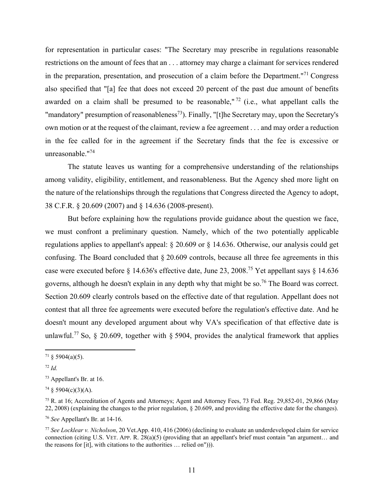for representation in particular cases: "The Secretary may prescribe in regulations reasonable restrictions on the amount of fees that an . . . attorney may charge a claimant for services rendered in the preparation, presentation, and prosecution of a claim before the Department."<sup>71</sup> Congress also specified that "[a] fee that does not exceed 20 percent of the past due amount of benefits awarded on a claim shall be presumed to be reasonable,"  $72$  (i.e., what appellant calls the "mandatory" presumption of reasonableness<sup>73</sup>). Finally, "[t]he Secretary may, upon the Secretary's own motion or at the request of the claimant, review a fee agreement . . . and may order a reduction in the fee called for in the agreement if the Secretary finds that the fee is excessive or unreasonable."74

The statute leaves us wanting for a comprehensive understanding of the relationships among validity, eligibility, entitlement, and reasonableness. But the Agency shed more light on the nature of the relationships through the regulations that Congress directed the Agency to adopt, 38 C.F.R. § 20.609 (2007) and § 14.636 (2008-present).

But before explaining how the regulations provide guidance about the question we face, we must confront a preliminary question. Namely, which of the two potentially applicable regulations applies to appellant's appeal: § 20.609 or § 14.636. Otherwise, our analysis could get confusing. The Board concluded that § 20.609 controls, because all three fee agreements in this case were executed before § 14.636's effective date, June 23, 2008.75 Yet appellant says § 14.636 governs, although he doesn't explain in any depth why that might be so.<sup>76</sup> The Board was correct. Section 20.609 clearly controls based on the effective date of that regulation. Appellant does not contest that all three fee agreements were executed before the regulation's effective date. And he doesn't mount any developed argument about why VA's specification of that effective date is unlawful.<sup>77</sup> So, § 20.609, together with § 5904, provides the analytical framework that applies

 $71 \& 5904(a)(5)$ .

<sup>72</sup> *Id.*

<sup>73</sup> Appellant's Br. at 16.

 $74 \S 5904(c)(3)(A)$ .

<sup>75</sup> R. at 16; Accreditation of Agents and Attorneys; Agent and Attorney Fees, 73 Fed. Reg. 29,852-01, 29,866 (May 22, 2008) (explaining the changes to the prior regulation, § 20.609, and providing the effective date for the changes).

<sup>76</sup> *See* Appellant's Br. at 14-16.

<sup>77</sup> *See Locklear v. Nicholson*, 20 Vet.App. 410, 416 (2006) (declining to evaluate an underdeveloped claim for service connection (citing U.S. VET. APP. R. 28(a)(5) (providing that an appellant's brief must contain "an argument… and the reasons for [it], with citations to the authorities … relied on"))).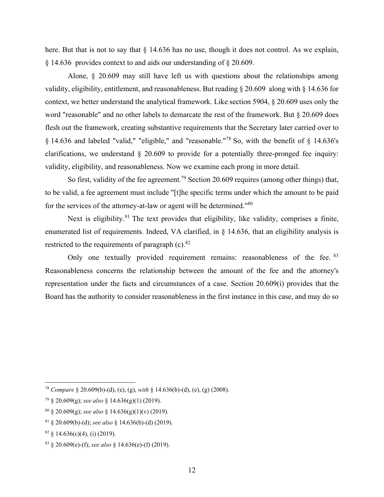here. But that is not to say that § 14.636 has no use, though it does not control. As we explain, § 14.636 provides context to and aids our understanding of § 20.609.

Alone, § 20.609 may still have left us with questions about the relationships among validity, eligibility, entitlement, and reasonableness. But reading § 20.609 along with § 14.636 for context, we better understand the analytical framework. Like section 5904, § 20.609 uses only the word "reasonable" and no other labels to demarcate the rest of the framework. But § 20.609 does flesh out the framework, creating substantive requirements that the Secretary later carried over to § 14.636 and labeled "valid," "eligible," and "reasonable."78 So, with the benefit of § 14.636's clarifications, we understand  $\S$  20.609 to provide for a potentially three-pronged fee inquiry: validity, eligibility, and reasonableness. Now we examine each prong in more detail.

So first, validity of the fee agreement.<sup>79</sup> Section 20.609 requires (among other things) that, to be valid, a fee agreement must include "[t]he specific terms under which the amount to be paid for the services of the attorney-at-law or agent will be determined."80

Next is eligibility.<sup>81</sup> The text provides that eligibility, like validity, comprises a finite, enumerated list of requirements. Indeed, VA clarified, in § 14.636, that an eligibility analysis is restricted to the requirements of paragraph  $(c)$ .<sup>82</sup>

Only one textually provided requirement remains: reasonableness of the fee. <sup>83</sup> Reasonableness concerns the relationship between the amount of the fee and the attorney's representation under the facts and circumstances of a case. Section 20.609(i) provides that the Board has the authority to consider reasonableness in the first instance in this case, and may do so

<sup>78</sup> *Compare* § 20.609(b)-(d), (e), (g), *with* § 14.636(b)-(d), (e), (g) (2008).

<sup>79 § 20.609(</sup>g); *see also* § 14.636(g)(1) (2019).

<sup>80 § 20.609(</sup>g); *see also* § 14.636(g)(1)(v) (2019).

<sup>81 § 20.609(</sup>b)-(d); *see also* § 14.636(b)-(d) (2019).

 $82 \text{ } \frac{1}{2}$  14.636(c)(4), (i) (2019).

<sup>83 § 20.609(</sup>e)-(f); *see also* § 14.636(e)-(f) (2019).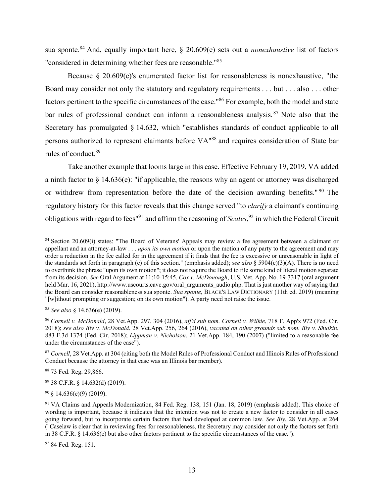sua sponte.84 And, equally important here, § 20.609(e) sets out a *nonexhaustive* list of factors "considered in determining whether fees are reasonable."85

Because § 20.609(e)'s enumerated factor list for reasonableness is nonexhaustive, "the Board may consider not only the statutory and regulatory requirements . . . but . . . also . . . other factors pertinent to the specific circumstances of the case."86 For example, both the model and state bar rules of professional conduct can inform a reasonableness analysis.<sup>87</sup> Note also that the Secretary has promulgated § 14.632, which "establishes standards of conduct applicable to all persons authorized to represent claimants before VA"88 and requires consideration of State bar rules of conduct.89

Take another example that looms large in this case. Effective February 19, 2019, VA added a ninth factor to  $\S$  14.636(e): "if applicable, the reasons why an agent or attorney was discharged or withdrew from representation before the date of the decision awarding benefits."<sup>90</sup> The regulatory history for this factor reveals that this change served "to *clarify* a claimant's continuing obligations with regard to fees"91 and affirm the reasoning of *Scates*, 92 in which the Federal Circuit

88 73 Fed. Reg. 29,866.

89 38 C.F.R. § 14.632(d) (2019).

 $90 \text{ }$  § 14.636(e)(9) (2019).

<sup>&</sup>lt;sup>84</sup> Section 20.609(i) states: "The Board of Veterans' Appeals may review a fee agreement between a claimant or appellant and an attorney-at-law . . . *upon its own motion* or upon the motion of any party to the agreement and may order a reduction in the fee called for in the agreement if it finds that the fee is excessive or unreasonable in light of the standards set forth in paragraph (e) of this section." (emphasis added); *see also* § 5904(c)(3)(A). There is no need to overthink the phrase "upon its own motion"; it does not require the Board to file some kind of literal motion separate from its decision. *See* Oral Argument at 11:10-15:45, *Cox v. McDonough*, U.S. Vet. App. No. 19-3317 (oral argument held Mar. 16, 2021), http://www.uscourts.cavc.gov/oral\_arguments\_audio.php. That is just another way of saying that the Board can consider reasonableness sua sponte. *Sua sponte*, BLACK'S LAW DICTIONARY (11th ed. 2019) (meaning "[w]ithout prompting or suggestion; on its own motion"). A party need not raise the issue.

<sup>85</sup> *See also* § 14.636(e) (2019).

<sup>86</sup> *Cornell v. McDonald*, 28 Vet.App. 297, 304 (2016), *aff'd sub nom. Cornell v. Wilkie*, 718 F. App'x 972 (Fed. Cir. 2018); *see also Bly v. McDonald*, 28 Vet.App. 256, 264 (2016), *vacated on other grounds sub nom. Bly v. Shulkin*, 883 F.3d 1374 (Fed. Cir. 2018); *Lippman v. Nicholson*, 21 Vet.App. 184, 190 (2007) ("limited to a reasonable fee under the circumstances of the case").

<sup>87</sup> *Cornell*, 28 Vet.App. at 304 (citing both the Model Rules of Professional Conduct and Illinois Rules of Professional Conduct because the attorney in that case was an Illinois bar member).

<sup>91</sup> VA Claims and Appeals Modernization, 84 Fed. Reg. 138, 151 (Jan. 18, 2019) (emphasis added). This choice of wording is important, because it indicates that the intention was not to create a new factor to consider in all cases going forward, but to incorporate certain factors that had developed at common law. *See Bly*, 28 Vet.App. at 264 ("Caselaw is clear that in reviewing fees for reasonableness, the Secretary may consider not only the factors set forth in 38 C.F.R. § 14.636(e) but also other factors pertinent to the specific circumstances of the case.").

<sup>92 84</sup> Fed. Reg. 151.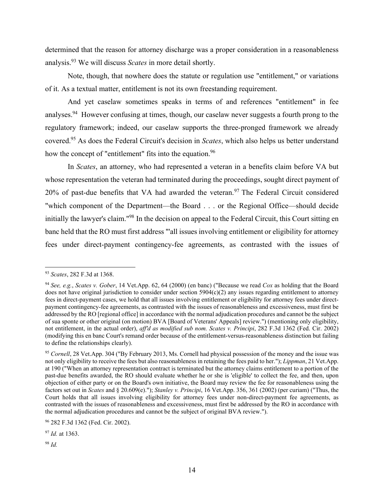determined that the reason for attorney discharge was a proper consideration in a reasonableness analysis.93 We will discuss *Scates* in more detail shortly.

Note, though, that nowhere does the statute or regulation use "entitlement," or variations of it. As a textual matter, entitlement is not its own freestanding requirement.

And yet caselaw sometimes speaks in terms of and references "entitlement" in fee analyses.94 However confusing at times, though, our caselaw never suggests a fourth prong to the regulatory framework; indeed, our caselaw supports the three-pronged framework we already covered.95 As does the Federal Circuit's decision in *Scates*, which also helps us better understand how the concept of "entitlement" fits into the equation.<sup>96</sup>

In *Scates*, an attorney, who had represented a veteran in a benefits claim before VA but whose representation the veteran had terminated during the proceedings, sought direct payment of 20% of past-due benefits that VA had awarded the veteran.<sup>97</sup> The Federal Circuit considered "which component of the Department—the Board . . . or the Regional Office—should decide initially the lawyer's claim."98 In the decision on appeal to the Federal Circuit, this Court sitting en banc held that the RO must first address "'all issues involving entitlement or eligibility for attorney fees under direct-payment contingency-fee agreements, as contrasted with the issues of

<sup>93</sup> *Scates*, 282 F.3d at 1368.

<sup>94</sup> *See, e.g.*, *Scates v. Gober*, 14 Vet.App. 62, 64 (2000) (en banc) ("Because we read *Cox* as holding that the Board does not have original jurisdiction to consider under section  $5904(c)(2)$  any issues regarding entitlement to attorney fees in direct-payment cases, we hold that all issues involving entitlement or eligibility for attorney fees under directpayment contingency-fee agreements, as contrasted with the issues of reasonableness and excessiveness, must first be addressed by the RO [regional office] in accordance with the normal adjudication procedures and cannot be the subject of sua sponte or other original (on motion) BVA [Board of Veterans' Appeals] review.") (mentioning only eligibility, not entitlement, in the actual order), *aff'd as modified sub nom. Scates v. Principi*, 282 F.3d 1362 (Fed. Cir. 2002) (modifying this en banc Court's remand order because of the entitlement-versus-reasonableness distinction but failing to define the relationships clearly).

<sup>95</sup> *Cornell*, 28 Vet.App. 304 ("By February 2013, Ms. Cornell had physical possession of the money and the issue was not only eligibility to receive the fees but also reasonableness in retaining the fees paid to her."); *Lippman*, 21 Vet.App. at 190 ("When an attorney representation contract is terminated but the attorney claims entitlement to a portion of the past-due benefits awarded, the RO should evaluate whether he or she is 'eligible' to collect the fee, and then, upon objection of either party or on the Board's own initiative, the Board may review the fee for reasonableness using the factors set out in *Scates* and § 20.609(e)."); *Stanley v. Principi*, 16 Vet.App. 356, 361 (2002) (per curiam) ("Thus, the Court holds that all issues involving eligibility for attorney fees under non-direct-payment fee agreements, as contrasted with the issues of reasonableness and excessiveness, must first be addressed by the RO in accordance with the normal adjudication procedures and cannot be the subject of original BVA review.").

<sup>96 282</sup> F.3d 1362 (Fed. Cir. 2002).

<sup>97</sup> *Id.* at 1363.

<sup>98</sup> *Id.*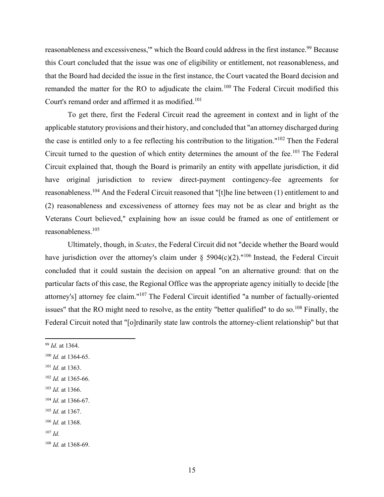reasonableness and excessiveness," which the Board could address in the first instance.<sup>99</sup> Because this Court concluded that the issue was one of eligibility or entitlement, not reasonableness, and that the Board had decided the issue in the first instance, the Court vacated the Board decision and remanded the matter for the RO to adjudicate the claim.100 The Federal Circuit modified this Court's remand order and affirmed it as modified.<sup>101</sup>

To get there, first the Federal Circuit read the agreement in context and in light of the applicable statutory provisions and their history, and concluded that "an attorney discharged during the case is entitled only to a fee reflecting his contribution to the litigation."102 Then the Federal Circuit turned to the question of which entity determines the amount of the fee.<sup>103</sup> The Federal Circuit explained that, though the Board is primarily an entity with appellate jurisdiction, it did have original jurisdiction to review direct-payment contingency-fee agreements for reasonableness.104 And the Federal Circuit reasoned that "[t]he line between (1) entitlement to and (2) reasonableness and excessiveness of attorney fees may not be as clear and bright as the Veterans Court believed," explaining how an issue could be framed as one of entitlement or reasonableness.105

Ultimately, though, in *Scates*, the Federal Circuit did not "decide whether the Board would have jurisdiction over the attorney's claim under § 5904(c)(2)."<sup>106</sup> Instead, the Federal Circuit concluded that it could sustain the decision on appeal "on an alternative ground: that on the particular facts of this case, the Regional Office was the appropriate agency initially to decide [the attorney's] attorney fee claim."107 The Federal Circuit identified "a number of factually-oriented issues" that the RO might need to resolve, as the entity "better qualified" to do so.<sup>108</sup> Finally, the Federal Circuit noted that "[o]rdinarily state law controls the attorney-client relationship" but that

- <sup>101</sup> *Id.* at 1363.
- <sup>102</sup> *Id.* at 1365-66.
- <sup>103</sup> *Id.* at 1366.

<sup>105</sup> *Id.* at 1367.

<sup>99</sup> *Id.* at 1364.

<sup>100</sup> *Id.* at 1364-65.

<sup>104</sup> *Id.* at 1366-67.

<sup>106</sup> *Id.* at 1368.

<sup>107</sup> *Id.*

<sup>108</sup> *Id.* at 1368-69.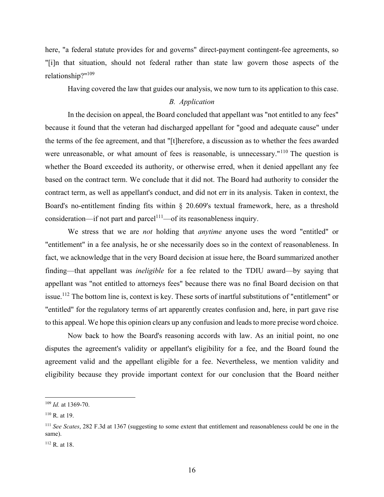here, "a federal statute provides for and governs" direct-payment contingent-fee agreements, so "[i]n that situation, should not federal rather than state law govern those aspects of the relationship?"109

Having covered the law that guides our analysis, we now turn to its application to this case.

## *B. Application*

In the decision on appeal, the Board concluded that appellant was "not entitled to any fees" because it found that the veteran had discharged appellant for "good and adequate cause" under the terms of the fee agreement, and that "[t]herefore, a discussion as to whether the fees awarded were unreasonable, or what amount of fees is reasonable, is unnecessary."<sup>110</sup> The question is whether the Board exceeded its authority, or otherwise erred, when it denied appellant any fee based on the contract term. We conclude that it did not. The Board had authority to consider the contract term, as well as appellant's conduct, and did not err in its analysis. Taken in context, the Board's no-entitlement finding fits within § 20.609's textual framework, here, as a threshold consideration—if not part and parcel<sup>111</sup>—of its reasonableness inquiry.

We stress that we are *not* holding that *anytime* anyone uses the word "entitled" or "entitlement" in a fee analysis, he or she necessarily does so in the context of reasonableness. In fact, we acknowledge that in the very Board decision at issue here, the Board summarized another finding—that appellant was *ineligible* for a fee related to the TDIU award—by saying that appellant was "not entitled to attorneys fees" because there was no final Board decision on that issue.112 The bottom line is, context is key. These sorts of inartful substitutions of "entitlement" or "entitled" for the regulatory terms of art apparently creates confusion and, here, in part gave rise to this appeal. We hope this opinion clears up any confusion and leads to more precise word choice.

Now back to how the Board's reasoning accords with law. As an initial point, no one disputes the agreement's validity or appellant's eligibility for a fee, and the Board found the agreement valid and the appellant eligible for a fee. Nevertheless, we mention validity and eligibility because they provide important context for our conclusion that the Board neither

<sup>109</sup> *Id.* at 1369-70.

 $110$  R. at 19.

<sup>111</sup> *See Scates*, 282 F.3d at 1367 (suggesting to some extent that entitlement and reasonableness could be one in the same).

<sup>112</sup> R. at 18.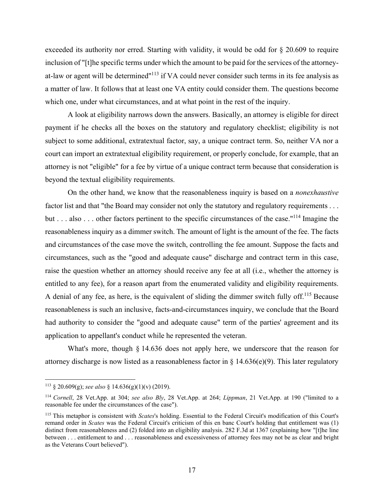exceeded its authority nor erred. Starting with validity, it would be odd for § 20.609 to require inclusion of "[t]he specific terms under which the amount to be paid for the services of the attorneyat-law or agent will be determined"113 if VA could never consider such terms in its fee analysis as a matter of law. It follows that at least one VA entity could consider them. The questions become which one, under what circumstances, and at what point in the rest of the inquiry.

A look at eligibility narrows down the answers. Basically, an attorney is eligible for direct payment if he checks all the boxes on the statutory and regulatory checklist; eligibility is not subject to some additional, extratextual factor, say, a unique contract term. So, neither VA nor a court can import an extratextual eligibility requirement, or properly conclude, for example, that an attorney is not "eligible" for a fee by virtue of a unique contract term because that consideration is beyond the textual eligibility requirements.

On the other hand, we know that the reasonableness inquiry is based on a *nonexhaustive* factor list and that "the Board may consider not only the statutory and regulatory requirements . . . but . . . also . . . other factors pertinent to the specific circumstances of the case."114 Imagine the reasonableness inquiry as a dimmer switch. The amount of light is the amount of the fee. The facts and circumstances of the case move the switch, controlling the fee amount. Suppose the facts and circumstances, such as the "good and adequate cause" discharge and contract term in this case, raise the question whether an attorney should receive any fee at all (i.e., whether the attorney is entitled to any fee), for a reason apart from the enumerated validity and eligibility requirements. A denial of any fee, as here, is the equivalent of sliding the dimmer switch fully off.<sup>115</sup> Because reasonableness is such an inclusive, facts-and-circumstances inquiry, we conclude that the Board had authority to consider the "good and adequate cause" term of the parties' agreement and its application to appellant's conduct while he represented the veteran.

What's more, though § 14.636 does not apply here, we underscore that the reason for attorney discharge is now listed as a reasonableness factor in § 14.636(e)(9). This later regulatory

<sup>113 § 20.609(</sup>g); *see also* § 14.636(g)(1)(v) (2019).

<sup>114</sup> *Cornell*, 28 Vet.App. at 304; *see also Bly*, 28 Vet.App. at 264; *Lippman*, 21 Vet.App. at 190 ("limited to a reasonable fee under the circumstances of the case").

<sup>115</sup> This metaphor is consistent with *Scates*'s holding. Essential to the Federal Circuit's modification of this Court's remand order in *Scates* was the Federal Circuit's criticism of this en banc Court's holding that entitlement was (1) distinct from reasonableness and (2) folded into an eligibility analysis. 282 F.3d at 1367 (explaining how "[t]he line between . . . entitlement to and . . . reasonableness and excessiveness of attorney fees may not be as clear and bright as the Veterans Court believed").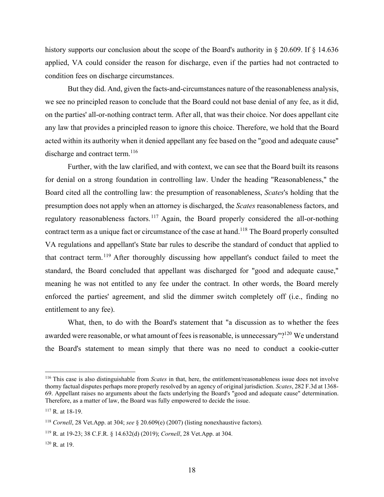history supports our conclusion about the scope of the Board's authority in  $\S 20.609$ . If  $\S 14.636$ applied, VA could consider the reason for discharge, even if the parties had not contracted to condition fees on discharge circumstances.

But they did. And, given the facts-and-circumstances nature of the reasonableness analysis, we see no principled reason to conclude that the Board could not base denial of any fee, as it did, on the parties' all-or-nothing contract term. After all, that was their choice. Nor does appellant cite any law that provides a principled reason to ignore this choice. Therefore, we hold that the Board acted within its authority when it denied appellant any fee based on the "good and adequate cause" discharge and contract term.<sup>116</sup>

Further, with the law clarified, and with context, we can see that the Board built its reasons for denial on a strong foundation in controlling law. Under the heading "Reasonableness," the Board cited all the controlling law: the presumption of reasonableness, *Scates*'s holding that the presumption does not apply when an attorney is discharged, the *Scates* reasonableness factors, and regulatory reasonableness factors.<sup>117</sup> Again, the Board properly considered the all-or-nothing contract term as a unique fact or circumstance of the case at hand.<sup>118</sup> The Board properly consulted VA regulations and appellant's State bar rules to describe the standard of conduct that applied to that contract term.119 After thoroughly discussing how appellant's conduct failed to meet the standard, the Board concluded that appellant was discharged for "good and adequate cause," meaning he was not entitled to any fee under the contract. In other words, the Board merely enforced the parties' agreement, and slid the dimmer switch completely off (i.e., finding no entitlement to any fee).

What, then, to do with the Board's statement that "a discussion as to whether the fees awarded were reasonable, or what amount of fees is reasonable, is unnecessary"?<sup>120</sup> We understand the Board's statement to mean simply that there was no need to conduct a cookie-cutter

<sup>116</sup> This case is also distinguishable from *Scates* in that, here, the entitlement/reasonableness issue does not involve thorny factual disputes perhaps more properly resolved by an agency of original jurisdiction. *Scates*, 282 F.3d at 1368- 69. Appellant raises no arguments about the facts underlying the Board's "good and adequate cause" determination. Therefore, as a matter of law, the Board was fully empowered to decide the issue.

<sup>117</sup> R. at 18-19.

<sup>118</sup> *Cornell*, 28 Vet.App. at 304; *see* § 20.609(e) (2007) (listing nonexhaustive factors).

<sup>119</sup> R. at 19-23; 38 C.F.R. § 14.632(d) (2019); *Cornell*, 28 Vet.App. at 304.

 $120$  R. at 19.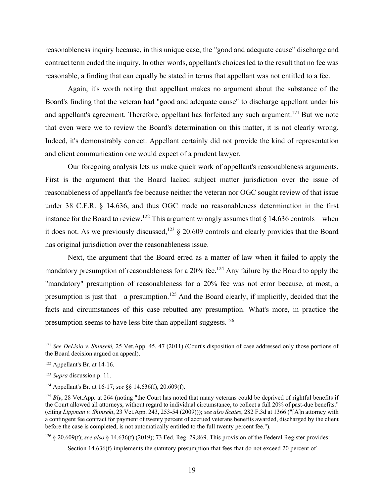reasonableness inquiry because, in this unique case, the "good and adequate cause" discharge and contract term ended the inquiry. In other words, appellant's choices led to the result that no fee was reasonable, a finding that can equally be stated in terms that appellant was not entitled to a fee.

Again, it's worth noting that appellant makes no argument about the substance of the Board's finding that the veteran had "good and adequate cause" to discharge appellant under his and appellant's agreement. Therefore, appellant has forfeited any such argument.<sup>121</sup> But we note that even were we to review the Board's determination on this matter, it is not clearly wrong. Indeed, it's demonstrably correct. Appellant certainly did not provide the kind of representation and client communication one would expect of a prudent lawyer.

Our foregoing analysis lets us make quick work of appellant's reasonableness arguments. First is the argument that the Board lacked subject matter jurisdiction over the issue of reasonableness of appellant's fee because neither the veteran nor OGC sought review of that issue under 38 C.F.R. § 14.636, and thus OGC made no reasonableness determination in the first instance for the Board to review.<sup>122</sup> This argument wrongly assumes that  $\S$  14.636 controls—when it does not. As we previously discussed,<sup>123</sup>  $\frac{1}{2}$  20.609 controls and clearly provides that the Board has original jurisdiction over the reasonableness issue.

Next, the argument that the Board erred as a matter of law when it failed to apply the mandatory presumption of reasonableness for a  $20\%$  fee.<sup>124</sup> Any failure by the Board to apply the "mandatory" presumption of reasonableness for a 20% fee was not error because, at most, a presumption is just that—a presumption.<sup>125</sup> And the Board clearly, if implicitly, decided that the facts and circumstances of this case rebutted any presumption. What's more, in practice the presumption seems to have less bite than appellant suggests.126

<sup>126</sup> § 20.609(f); *see also* § 14.636(f) (2019); 73 Fed. Reg. 29,869. This provision of the Federal Register provides:

Section 14.636(f) implements the statutory presumption that fees that do not exceed 20 percent of

<sup>121</sup> *See DeLisio v. Shinseki,* 25 Vet.App. 45, 47 (2011) (Court's disposition of case addressed only those portions of the Board decision argued on appeal).

<sup>122</sup> Appellant's Br. at 14-16.

<sup>123</sup> *Supra* discussion p. 11.

<sup>124</sup> Appellant's Br. at 16-17; *see* §§ 14.636(f), 20.609(f).

<sup>&</sup>lt;sup>125</sup> *Bly*, 28 Vet.App. at 264 (noting "the Court has noted that many veterans could be deprived of rightful benefits if the Court allowed all attorneys, without regard to individual circumstance, to collect a full 20% of past-due benefits." (citing *Lippman v. Shinseki*, 23 Vet.App. 243, 253-54 (2009))); *see also Scates*, 282 F.3d at 1366 ("[A]n attorney with a contingent fee contract for payment of twenty percent of accrued veterans benefits awarded, discharged by the client before the case is completed, is not automatically entitled to the full twenty percent fee.").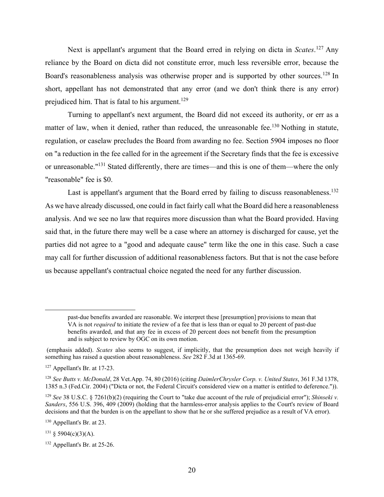Next is appellant's argument that the Board erred in relying on dicta in *Scates*. 127 Any reliance by the Board on dicta did not constitute error, much less reversible error, because the Board's reasonableness analysis was otherwise proper and is supported by other sources.<sup>128</sup> In short, appellant has not demonstrated that any error (and we don't think there is any error) prejudiced him. That is fatal to his argument.<sup>129</sup>

Turning to appellant's next argument, the Board did not exceed its authority, or err as a matter of law, when it denied, rather than reduced, the unreasonable fee.<sup>130</sup> Nothing in statute, regulation, or caselaw precludes the Board from awarding no fee. Section 5904 imposes no floor on "a reduction in the fee called for in the agreement if the Secretary finds that the fee is excessive or unreasonable."131 Stated differently, there are times—and this is one of them—where the only "reasonable" fee is \$0.

Last is appellant's argument that the Board erred by failing to discuss reasonableness.<sup>132</sup> As we have already discussed, one could in fact fairly call what the Board did here a reasonableness analysis. And we see no law that requires more discussion than what the Board provided. Having said that, in the future there may well be a case where an attorney is discharged for cause, yet the parties did not agree to a "good and adequate cause" term like the one in this case. Such a case may call for further discussion of additional reasonableness factors. But that is not the case before us because appellant's contractual choice negated the need for any further discussion.

past-due benefits awarded are reasonable. We interpret these [presumption] provisions to mean that VA is not *required* to initiate the review of a fee that is less than or equal to 20 percent of past-due benefits awarded, and that any fee in excess of 20 percent does not benefit from the presumption and is subject to review by OGC on its own motion.

 <sup>(</sup>emphasis added). *Scates* also seems to suggest, if implicitly, that the presumption does not weigh heavily if something has raised a question about reasonableness. *See* 282 F.3d at 1365-69.

<sup>127</sup> Appellant's Br. at 17-23.

<sup>128</sup> *See Butts v. McDonald*, 28 Vet.App. 74, 80 (2016) (citing *DaimlerChrysler Corp. v. United States*, 361 F.3d 1378, 1385 n.3 (Fed.Cir. 2004) ("Dicta or not, the Federal Circuit's considered view on a matter is entitled to deference.")).

<sup>129</sup> *See* 38 U.S.C. § 7261(b)(2) (requiring the Court to "take due account of the rule of prejudicial error"); *Shinseki v. Sanders*, 556 U.S. 396, 409 (2009) (holding that the harmless-error analysis applies to the Court's review of Board decisions and that the burden is on the appellant to show that he or she suffered prejudice as a result of VA error).

<sup>130</sup> Appellant's Br. at 23.

 $131 \& 5904(c)(3)(A).$ 

<sup>132</sup> Appellant's Br. at 25-26.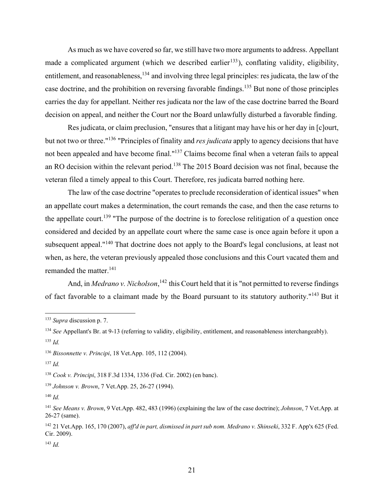As much as we have covered so far, we still have two more arguments to address. Appellant made a complicated argument (which we described earlier<sup>133</sup>), conflating validity, eligibility, entitlement, and reasonableness,<sup>134</sup> and involving three legal principles: res judicata, the law of the case doctrine, and the prohibition on reversing favorable findings.135 But none of those principles carries the day for appellant. Neither res judicata nor the law of the case doctrine barred the Board decision on appeal, and neither the Court nor the Board unlawfully disturbed a favorable finding.

Res judicata, or claim preclusion, "ensures that a litigant may have his or her day in [c]ourt, but not two or three."136 "Principles of finality and *res judicata* apply to agency decisions that have not been appealed and have become final."137 Claims become final when a veteran fails to appeal an RO decision within the relevant period.<sup>138</sup> The 2015 Board decision was not final, because the veteran filed a timely appeal to this Court. Therefore, res judicata barred nothing here.

The law of the case doctrine "operates to preclude reconsideration of identical issues" when an appellate court makes a determination, the court remands the case, and then the case returns to the appellate court.<sup>139</sup> "The purpose of the doctrine is to foreclose relitigation of a question once considered and decided by an appellate court where the same case is once again before it upon a subsequent appeal."<sup>140</sup> That doctrine does not apply to the Board's legal conclusions, at least not when, as here, the veteran previously appealed those conclusions and this Court vacated them and remanded the matter.<sup>141</sup>

And, in *Medrano v. Nicholson*, <sup>142</sup> this Court held that it is "not permitted to reverse findings of fact favorable to a claimant made by the Board pursuant to its statutory authority."143 But it

<sup>133</sup> *Supra* discussion p. 7.

<sup>134</sup> *See* Appellant's Br. at 9-13 (referring to validity, eligibility, entitlement, and reasonableness interchangeably). <sup>135</sup> *Id.*

<sup>136</sup> *Bissonnette v. Principi*, 18 Vet.App. 105, 112 (2004).

 $137$  *Id.* 

<sup>138</sup> *Cook v. Principi*, 318 F.3d 1334, 1336 (Fed. Cir. 2002) (en banc).

<sup>139</sup> *Johnson v. Brown*, 7 Vet.App. 25, 26-27 (1994).

<sup>140</sup> *Id.* 

<sup>141</sup> *See Means v. Brown*, 9 Vet.App. 482, 483 (1996) (explaining the law of the case doctrine); *Johnson*, 7 Vet.App. at 26-27 (same).

<sup>142 21</sup> Vet.App. 165, 170 (2007), *aff'd in part, dismissed in part sub nom. Medrano v. Shinseki*, 332 F. App'x 625 (Fed. Cir. 2009).

<sup>143</sup> *Id.*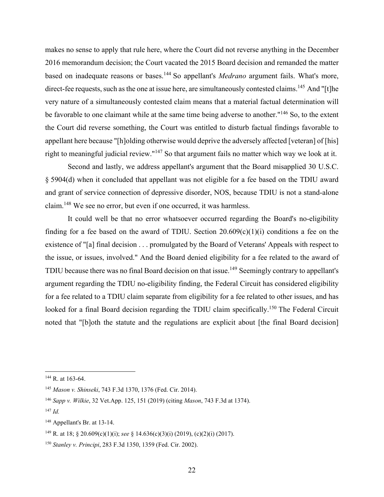makes no sense to apply that rule here, where the Court did not reverse anything in the December 2016 memorandum decision; the Court vacated the 2015 Board decision and remanded the matter based on inadequate reasons or bases.144 So appellant's *Medrano* argument fails. What's more, direct-fee requests, such as the one at issue here, are simultaneously contested claims.<sup>145</sup> And "[t]he very nature of a simultaneously contested claim means that a material factual determination will be favorable to one claimant while at the same time being adverse to another."<sup>146</sup> So, to the extent the Court did reverse something, the Court was entitled to disturb factual findings favorable to appellant here because "[h]olding otherwise would deprive the adversely affected [veteran] of [his] right to meaningful judicial review."147 So that argument fails no matter which way we look at it.

Second and lastly, we address appellant's argument that the Board misapplied 30 U.S.C. § 5904(d) when it concluded that appellant was not eligible for a fee based on the TDIU award and grant of service connection of depressive disorder, NOS, because TDIU is not a stand-alone claim.148 We see no error, but even if one occurred, it was harmless.

It could well be that no error whatsoever occurred regarding the Board's no-eligibility finding for a fee based on the award of TDIU. Section  $20.609(c)(1)(i)$  conditions a fee on the existence of "[a] final decision . . . promulgated by the Board of Veterans' Appeals with respect to the issue, or issues, involved." And the Board denied eligibility for a fee related to the award of TDIU because there was no final Board decision on that issue.<sup>149</sup> Seemingly contrary to appellant's argument regarding the TDIU no-eligibility finding, the Federal Circuit has considered eligibility for a fee related to a TDIU claim separate from eligibility for a fee related to other issues, and has looked for a final Board decision regarding the TDIU claim specifically.<sup>150</sup> The Federal Circuit noted that "[b]oth the statute and the regulations are explicit about [the final Board decision]

<sup>&</sup>lt;sup>144</sup> R. at 163-64.

<sup>145</sup> *Mason v. Shinseki*, 743 F.3d 1370, 1376 (Fed. Cir. 2014).

<sup>146</sup> *Sapp v. Wilkie*, 32 Vet.App. 125, 151 (2019) (citing *Mason*, 743 F.3d at 1374).

<sup>147</sup> *Id.* 

<sup>148</sup> Appellant's Br. at 13-14.

<sup>149</sup> R. at 18; § 20.609(c)(1)(i); *see* § 14.636(c)(3)(i) (2019), (c)(2)(i) (2017).

<sup>150</sup> *Stanley v. Principi*, 283 F.3d 1350, 1359 (Fed. Cir. 2002).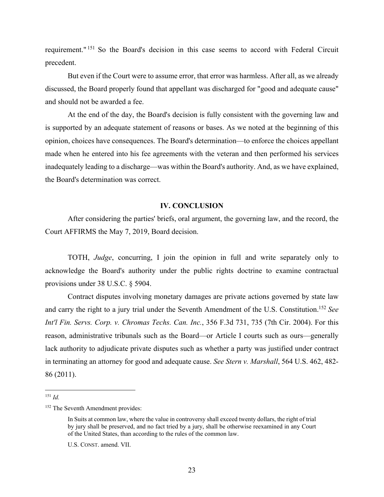requirement." 151 So the Board's decision in this case seems to accord with Federal Circuit precedent.

But even if the Court were to assume error, that error was harmless. After all, as we already discussed, the Board properly found that appellant was discharged for "good and adequate cause" and should not be awarded a fee.

At the end of the day, the Board's decision is fully consistent with the governing law and is supported by an adequate statement of reasons or bases. As we noted at the beginning of this opinion, choices have consequences. The Board's determination—to enforce the choices appellant made when he entered into his fee agreements with the veteran and then performed his services inadequately leading to a discharge—was within the Board's authority. And, as we have explained, the Board's determination was correct.

#### **IV. CONCLUSION**

After considering the parties' briefs, oral argument, the governing law, and the record, the Court AFFIRMS the May 7, 2019, Board decision.

TOTH, *Judge*, concurring, I join the opinion in full and write separately only to acknowledge the Board's authority under the public rights doctrine to examine contractual provisions under 38 U.S.C. § 5904.

Contract disputes involving monetary damages are private actions governed by state law and carry the right to a jury trial under the Seventh Amendment of the U.S. Constitution.152 *See Int'l Fin. Servs. Corp. v. Chromas Techs. Can. Inc.*, 356 F.3d 731, 735 (7th Cir. 2004). For this reason, administrative tribunals such as the Board—or Article I courts such as ours—generally lack authority to adjudicate private disputes such as whether a party was justified under contract in terminating an attorney for good and adequate cause. *See Stern v. Marshall*, 564 U.S. 462, 482- 86 (2011).

 $151$  *Id.* 

<sup>&</sup>lt;sup>152</sup> The Seventh Amendment provides:

In Suits at common law, where the value in controversy shall exceed twenty dollars, the right of trial by jury shall be preserved, and no fact tried by a jury, shall be otherwise reexamined in any Court of the United States, than according to the rules of the common law.

U.S. CONST. amend. VII.